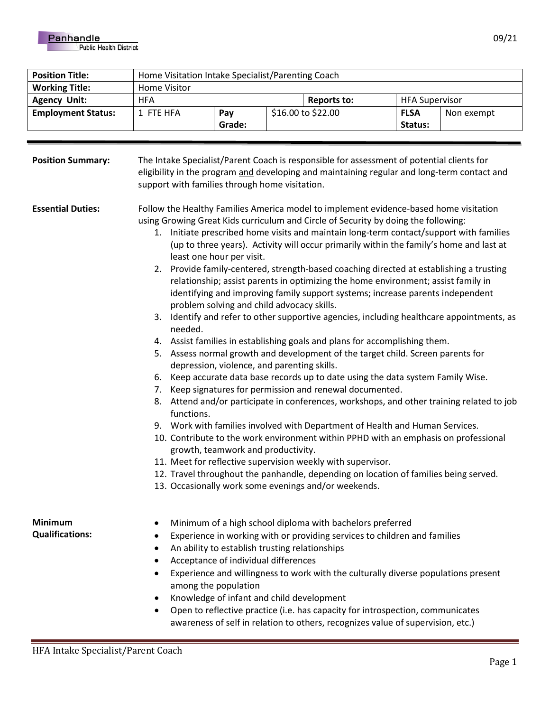| <b>Position Title:</b>    | Home Visitation Intake Specialist/Parenting Coach |        |                    |             |                       |            |
|---------------------------|---------------------------------------------------|--------|--------------------|-------------|-----------------------|------------|
| <b>Working Title:</b>     | Home Visitor                                      |        |                    |             |                       |            |
| <b>Agency Unit:</b>       | <b>HFA</b>                                        |        |                    | Reports to: | <b>HFA Supervisor</b> |            |
| <b>Employment Status:</b> | 1 FTE HFA                                         | Pay    | \$16.00 to \$22.00 |             | <b>FLSA</b>           | Non exempt |
|                           |                                                   | Grade: |                    |             | Status:               |            |

| <b>Position Summary:</b>                 | The Intake Specialist/Parent Coach is responsible for assessment of potential clients for<br>eligibility in the program and developing and maintaining regular and long-term contact and<br>support with families through home visitation.                                                                                                                                                                                                                                                                                                                                                                                                                                                                                                                                                                                                                                                                                                                                                                                                                                                                                                                                                                                                                                                                                                                                                                                                                                                                                                                                                                                                                                                                                     |  |  |  |  |
|------------------------------------------|--------------------------------------------------------------------------------------------------------------------------------------------------------------------------------------------------------------------------------------------------------------------------------------------------------------------------------------------------------------------------------------------------------------------------------------------------------------------------------------------------------------------------------------------------------------------------------------------------------------------------------------------------------------------------------------------------------------------------------------------------------------------------------------------------------------------------------------------------------------------------------------------------------------------------------------------------------------------------------------------------------------------------------------------------------------------------------------------------------------------------------------------------------------------------------------------------------------------------------------------------------------------------------------------------------------------------------------------------------------------------------------------------------------------------------------------------------------------------------------------------------------------------------------------------------------------------------------------------------------------------------------------------------------------------------------------------------------------------------|--|--|--|--|
| <b>Essential Duties:</b>                 | Follow the Healthy Families America model to implement evidence-based home visitation<br>using Growing Great Kids curriculum and Circle of Security by doing the following:<br>1. Initiate prescribed home visits and maintain long-term contact/support with families<br>(up to three years). Activity will occur primarily within the family's home and last at<br>least one hour per visit.<br>2. Provide family-centered, strength-based coaching directed at establishing a trusting<br>relationship; assist parents in optimizing the home environment; assist family in<br>identifying and improving family support systems; increase parents independent<br>problem solving and child advocacy skills.<br>3. Identify and refer to other supportive agencies, including healthcare appointments, as<br>needed.<br>4. Assist families in establishing goals and plans for accomplishing them.<br>5. Assess normal growth and development of the target child. Screen parents for<br>depression, violence, and parenting skills.<br>6. Keep accurate data base records up to date using the data system Family Wise.<br>7. Keep signatures for permission and renewal documented.<br>8. Attend and/or participate in conferences, workshops, and other training related to job<br>functions.<br>9. Work with families involved with Department of Health and Human Services.<br>10. Contribute to the work environment within PPHD with an emphasis on professional<br>growth, teamwork and productivity.<br>11. Meet for reflective supervision weekly with supervisor.<br>12. Travel throughout the panhandle, depending on location of families being served.<br>13. Occasionally work some evenings and/or weekends. |  |  |  |  |
| <b>Minimum</b><br><b>Qualifications:</b> | Minimum of a high school diploma with bachelors preferred<br>$\bullet$<br>Experience in working with or providing services to children and families<br>٠<br>An ability to establish trusting relationships<br>٠<br>Acceptance of individual differences<br>Experience and willingness to work with the culturally diverse populations present<br>among the population<br>Knowledge of infant and child development<br>٠<br>Open to reflective practice (i.e. has capacity for introspection, communicates<br>٠<br>awareness of self in relation to others, recognizes value of supervision, etc.)                                                                                                                                                                                                                                                                                                                                                                                                                                                                                                                                                                                                                                                                                                                                                                                                                                                                                                                                                                                                                                                                                                                              |  |  |  |  |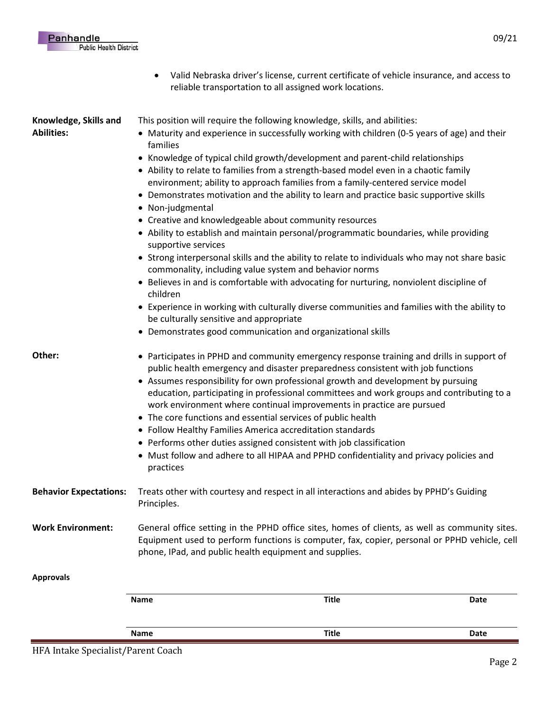• Valid Nebraska driver's license, current certificate of vehicle insurance, and access to reliable transportation to all assigned work locations.

**Knowledge, Skills and Abilities:**

This position will require the following knowledge, skills, and abilities:

- Maturity and experience in successfully working with children (0-5 years of age) and their families
- Knowledge of typical child growth/development and parent-child relationships
- Ability to relate to families from a strength-based model even in a chaotic family environment; ability to approach families from a family-centered service model
- Demonstrates motivation and the ability to learn and practice basic supportive skills
- Non-judgmental
- Creative and knowledgeable about community resources
- Ability to establish and maintain personal/programmatic boundaries, while providing supportive services
- Strong interpersonal skills and the ability to relate to individuals who may not share basic commonality, including value system and behavior norms
- Believes in and is comfortable with advocating for nurturing, nonviolent discipline of children
- Experience in working with culturally diverse communities and families with the ability to be culturally sensitive and appropriate
- Demonstrates good communication and organizational skills

- **Other:** Participates in PPHD and community emergency response training and drills in support of public health emergency and disaster preparedness consistent with job functions
	- Assumes responsibility for own professional growth and development by pursuing education, participating in professional committees and work groups and contributing to a work environment where continual improvements in practice are pursued
	- The core functions and essential services of public health
	- Follow Healthy Families America accreditation standards
	- Performs other duties assigned consistent with job classification
	- Must follow and adhere to all HIPAA and PPHD confidentiality and privacy policies and practices
- **Behavior Expectations:** Treats other with courtesy and respect in all interactions and abides by PPHD's Guiding Principles.
- **Work Environment:** General office setting in the PPHD office sites, homes of clients, as well as community sites. Equipment used to perform functions is computer, fax, copier, personal or PPHD vehicle, cell phone, IPad, and public health equipment and supplies.

## **Approvals**

| Name | Title        | Date |
|------|--------------|------|
| Name | <b>Title</b> | Date |